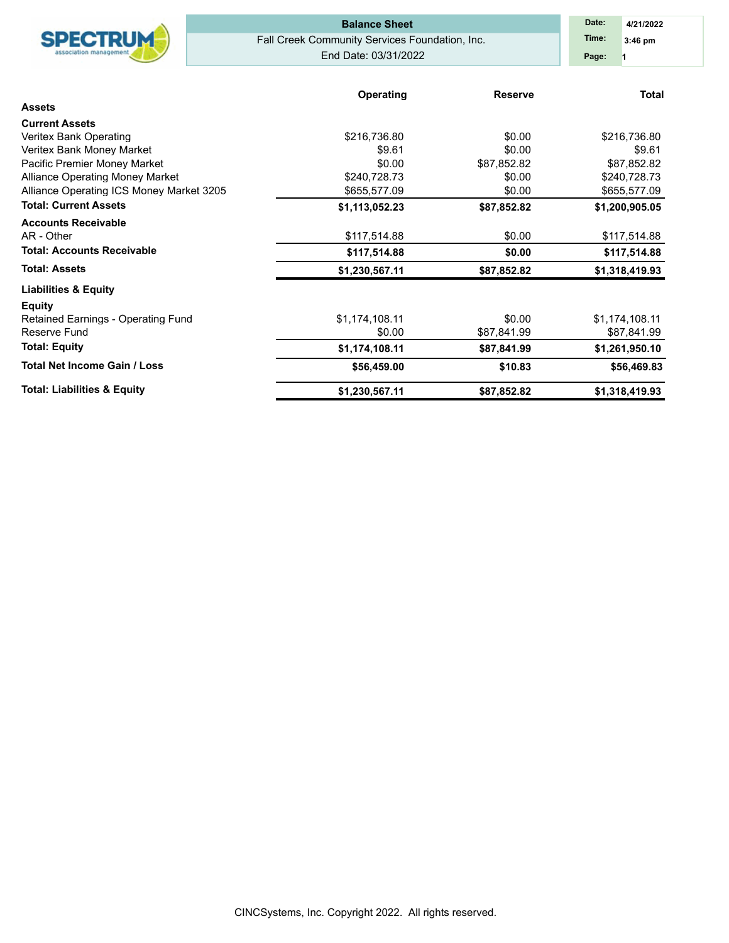|                                                 | <b>Balance Sheet</b>                           | Date:<br>4/21/2022 |                |  |
|-------------------------------------------------|------------------------------------------------|--------------------|----------------|--|
| <b>SPECTRUM</b>                                 | Fall Creek Community Services Foundation, Inc. | Time:<br>$3:46$ pm |                |  |
|                                                 | End Date: 03/31/2022                           | Page:              |                |  |
|                                                 |                                                |                    |                |  |
| <b>Assets</b>                                   | <b>Operating</b>                               | <b>Reserve</b>     | <b>Total</b>   |  |
|                                                 |                                                |                    |                |  |
| <b>Current Assets</b><br>Veritex Bank Operating | \$216,736.80                                   | \$0.00             | \$216,736.80   |  |
| Veritex Bank Money Market                       | \$9.61                                         | \$0.00             | \$9.61         |  |
| Pacific Premier Money Market                    | \$0.00                                         | \$87,852.82        | \$87,852.82    |  |
| <b>Alliance Operating Money Market</b>          | \$240,728.73                                   | \$0.00             | \$240,728.73   |  |
| Alliance Operating ICS Money Market 3205        | \$655,577.09                                   | \$0.00             | \$655,577.09   |  |
| <b>Total: Current Assets</b>                    | \$1,113,052.23                                 | \$87,852.82        | \$1,200,905.05 |  |
| <b>Accounts Receivable</b>                      |                                                |                    |                |  |
| AR - Other                                      | \$117,514.88                                   | \$0.00             | \$117,514.88   |  |
| <b>Total: Accounts Receivable</b>               | \$117,514.88                                   | \$0.00             | \$117,514.88   |  |
| <b>Total: Assets</b>                            | \$1,230,567.11                                 | \$87,852.82        | \$1,318,419.93 |  |
| <b>Liabilities &amp; Equity</b>                 |                                                |                    |                |  |
| <b>Equity</b>                                   |                                                |                    |                |  |
| Retained Earnings - Operating Fund              | \$1,174,108.11                                 | \$0.00             | \$1,174,108.11 |  |
| Reserve Fund                                    | \$0.00                                         | \$87,841.99        | \$87,841.99    |  |
| <b>Total: Equity</b>                            | \$1,174,108.11                                 | \$87,841.99        | \$1,261,950.10 |  |
| <b>Total Net Income Gain / Loss</b>             | \$56,459.00                                    | \$10.83            | \$56,469.83    |  |
| <b>Total: Liabilities &amp; Equity</b>          | \$1,230,567.11                                 | \$87,852.82        | \$1,318,419.93 |  |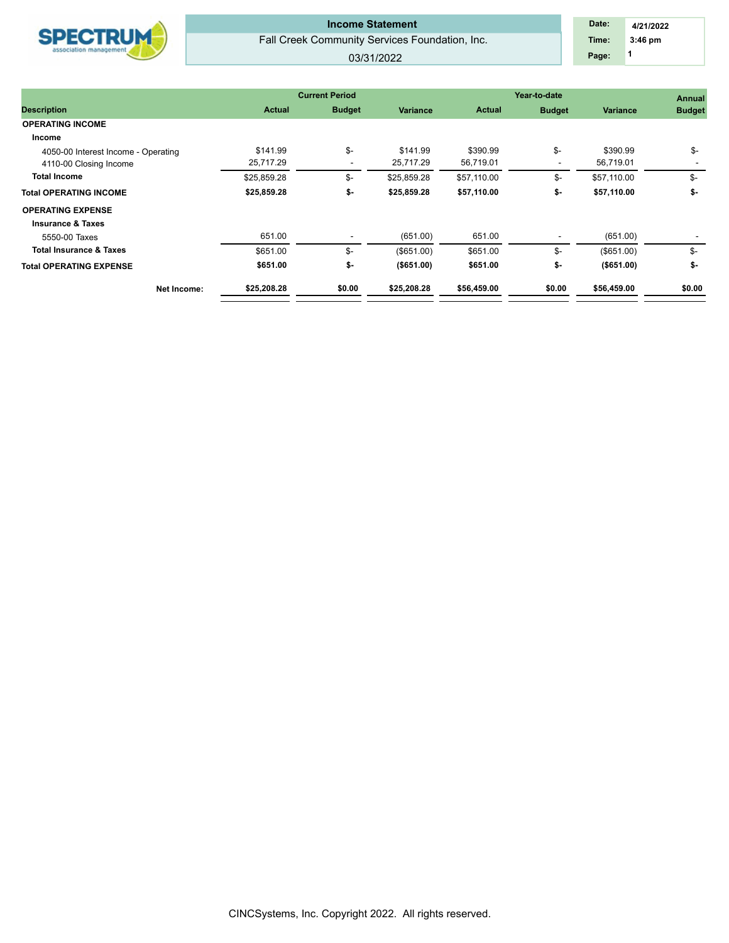| <b>SPECTRUM</b> |
|-----------------|
|-----------------|

Fall Creek Community Services Foundation, Inc. 03/31/2022 **Income Statement** 

## **1 Time: 3:46 pm 4/21/2022 Date: Page:**

|                                     |               | <b>Current Period</b>    |                 | Year-to-date  | <b>Annual</b> |                 |               |
|-------------------------------------|---------------|--------------------------|-----------------|---------------|---------------|-----------------|---------------|
| <b>Description</b>                  | <b>Actual</b> | <b>Budget</b>            | <b>Variance</b> | <b>Actual</b> | <b>Budget</b> | <b>Variance</b> | <b>Budget</b> |
| <b>OPERATING INCOME</b>             |               |                          |                 |               |               |                 |               |
| Income                              |               |                          |                 |               |               |                 |               |
| 4050-00 Interest Income - Operating | \$141.99      | \$-                      | \$141.99        | \$390.99      | \$-           | \$390.99        | $\frac{2}{3}$ |
| 4110-00 Closing Income              | 25,717.29     | $\overline{\phantom{a}}$ | 25,717.29       | 56,719.01     |               | 56,719.01       |               |
| <b>Total Income</b>                 | \$25,859.28   | \$-                      | \$25,859.28     | \$57,110.00   | \$-           | \$57,110.00     | \$-           |
| <b>Total OPERATING INCOME</b>       | \$25,859.28   | \$-                      | \$25,859.28     | \$57,110.00   | \$-           | \$57,110.00     | \$-           |
| <b>OPERATING EXPENSE</b>            |               |                          |                 |               |               |                 |               |
| <b>Insurance &amp; Taxes</b>        |               |                          |                 |               |               |                 |               |
| 5550-00 Taxes                       | 651.00        |                          | (651.00)        | 651.00        |               | (651.00)        |               |
| <b>Total Insurance &amp; Taxes</b>  | \$651.00      | \$-                      | (\$651.00)      | \$651.00      | \$-           | (\$651.00)      | \$-           |
| <b>Total OPERATING EXPENSE</b>      | \$651.00      | \$-                      | $($ \$651.00)   | \$651.00      | \$-           | ( \$651.00)     | \$-           |
| Net Income:                         | \$25,208.28   | \$0.00                   | \$25,208.28     | \$56,459.00   | \$0.00        | \$56,459.00     | \$0.00        |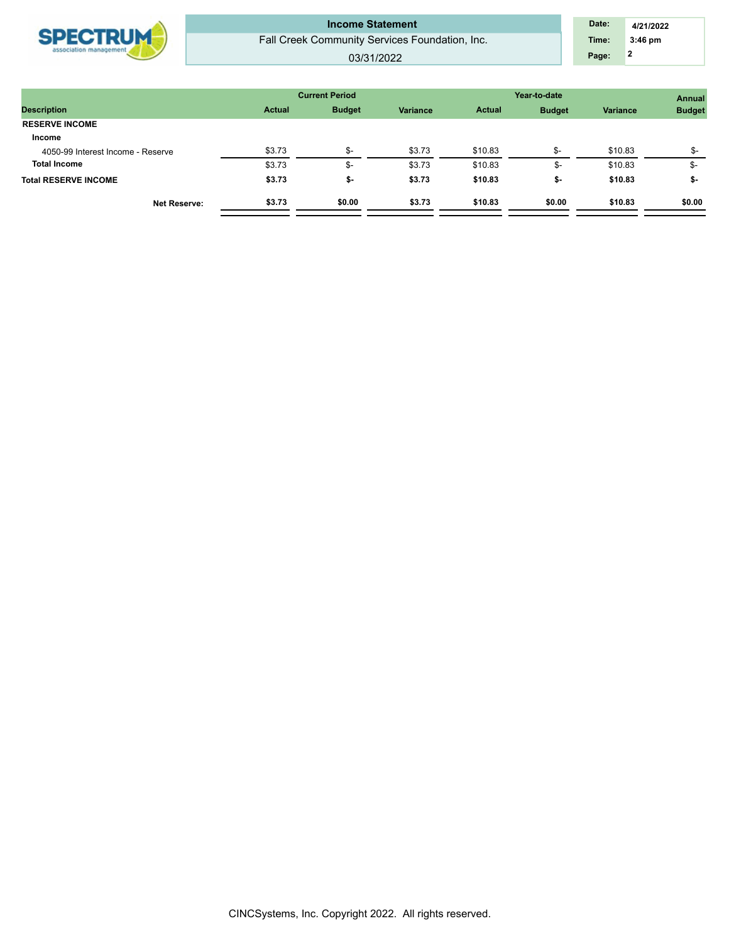| 03/31/2022 |
|------------|
|------------|

| <b>Actual</b> | <b>Budget</b>        | Variance | <b>Actual</b> | <b>Budget</b> | Variance | <b>Budget</b>                         |  |
|---------------|----------------------|----------|---------------|---------------|----------|---------------------------------------|--|
|               |                      |          |               |               |          |                                       |  |
|               |                      |          |               |               |          |                                       |  |
| \$3.73        | ক-                   | \$3.73   | \$10.83       | \$-           | \$10.83  | $S-$                                  |  |
| \$3.73        | $\rightarrow$<br>-ან | \$3.73   | \$10.83       | \$-           | \$10.83  | \$-                                   |  |
| \$3.73        | ৬-                   | \$3.73   | \$10.83       | \$-           | \$10.83  | \$-                                   |  |
| \$3.73        | \$0.00               | \$3.73   | \$10.83       | \$0.00        | \$10.83  | \$0.00                                |  |
|               |                      |          |               |               |          | <b>Current Period</b><br>Year-to-date |  |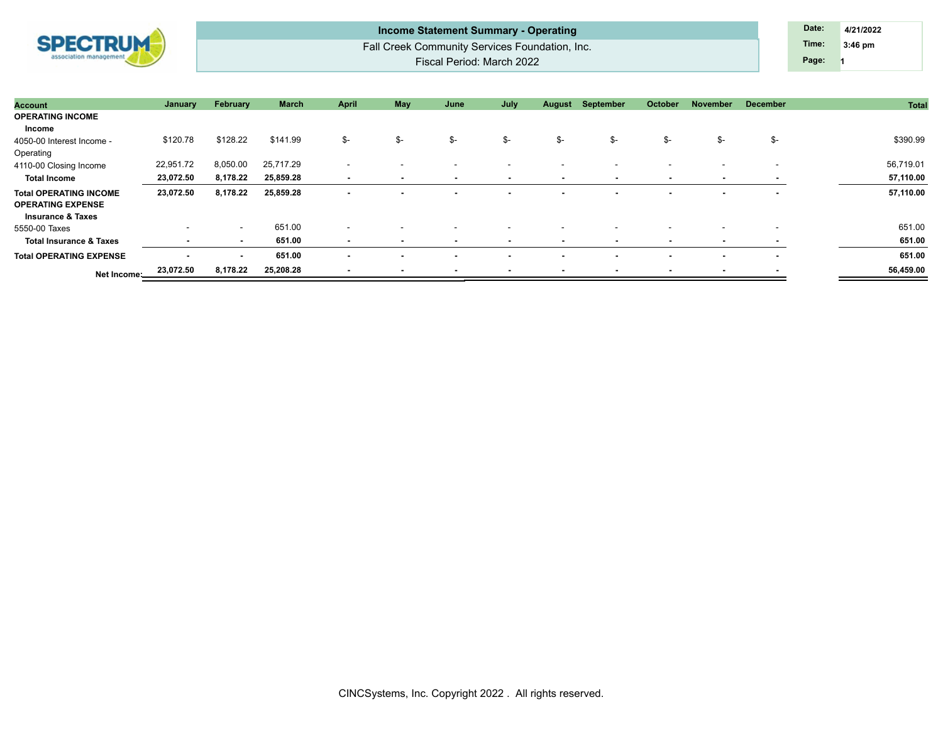| <b>SPECTRUM</b> |
|-----------------|
|                 |

Fall Creek Community Services Foundation, Inc. Fiscal Period: March 2022 **Income Statement Summary - Operating Date: Date: Date: Date: 4/21/2022** 

**1 Time: 3:46 pm Page:**

| <b>Account</b>                                            | January   | February                 | <b>March</b> | <b>April</b>             | May                      | June                     | July                     | August                   | September                | October                  | November                 | <b>December</b>          | <b>Total</b> |
|-----------------------------------------------------------|-----------|--------------------------|--------------|--------------------------|--------------------------|--------------------------|--------------------------|--------------------------|--------------------------|--------------------------|--------------------------|--------------------------|--------------|
| <b>OPERATING INCOME</b>                                   |           |                          |              |                          |                          |                          |                          |                          |                          |                          |                          |                          |              |
| Income                                                    |           |                          |              |                          |                          |                          |                          |                          |                          |                          |                          |                          |              |
| 4050-00 Interest Income -                                 | \$120.78  | \$128.22                 | \$141.99     | \$-                      | \$-                      | \$-                      | \$-                      | \$-                      | \$-                      | \$-                      | \$-                      | \$-                      | \$390.99     |
| Operating                                                 |           |                          |              |                          |                          |                          |                          |                          |                          |                          |                          |                          |              |
| 4110-00 Closing Income                                    | 22,951.72 | 8,050.00                 | 25,717.29    | $\overline{\phantom{0}}$ | $\overline{\phantom{a}}$ | $\overline{\phantom{a}}$ | $\overline{\phantom{a}}$ |                          | $\overline{\phantom{a}}$ | $\overline{\phantom{a}}$ | $\overline{\phantom{a}}$ | $\overline{\phantom{a}}$ | 56,719.01    |
| <b>Total Income</b>                                       | 23,072.50 | 8,178.22                 | 25,859.28    | $\blacksquare$           | $\overline{\phantom{a}}$ | $\overline{\phantom{a}}$ |                          | $\overline{\phantom{a}}$ |                          | $\overline{\phantom{a}}$ | ٠                        |                          | 57,110.00    |
| <b>Total OPERATING INCOME</b><br><b>OPERATING EXPENSE</b> | 23,072.50 | 8,178.22                 | 25,859.28    | $\overline{\phantom{a}}$ |                          |                          |                          |                          |                          |                          | $\blacksquare$           | $\overline{\phantom{a}}$ | 57,110.00    |
| <b>Insurance &amp; Taxes</b>                              |           |                          |              |                          |                          |                          |                          |                          |                          |                          |                          |                          |              |
| 5550-00 Taxes                                             | $\sim$    | $\sim$                   | 651.00       | $\overline{\phantom{a}}$ |                          |                          |                          |                          |                          |                          |                          |                          | 651.00       |
| <b>Total Insurance &amp; Taxes</b>                        |           | . .                      | 651.00       | $\overline{\phantom{a}}$ |                          | $\overline{\phantom{a}}$ |                          |                          |                          | $\overline{\phantom{a}}$ | $\overline{\phantom{a}}$ | $\blacksquare$           | 651.00       |
| <b>Total OPERATING EXPENSE</b>                            | . .       | $\overline{\phantom{a}}$ | 651.00       | $\blacksquare$           |                          |                          |                          |                          |                          |                          | $\blacksquare$           | $\sim$                   | 651.00       |
| Net Income:                                               | 23,072.50 | 8,178.22                 | 25,208.28    |                          |                          |                          |                          |                          |                          |                          | $\overline{\phantom{a}}$ |                          | 56,459.00    |
|                                                           |           |                          |              |                          |                          |                          |                          |                          |                          |                          |                          |                          |              |